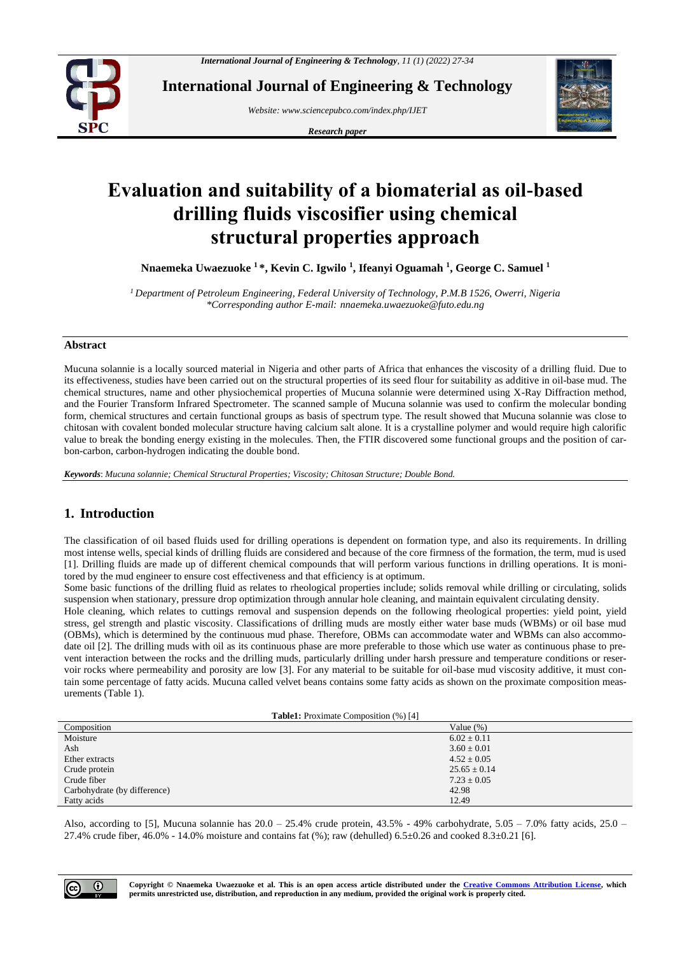

**International Journal of Engineering & Technology**

*Website: www.sciencepubco.com/index.php/IJET* 

*Research paper*



# **Evaluation and suitability of a biomaterial as oil-based drilling fluids viscosifier using chemical structural properties approach**

**Nnaemeka Uwaezuoke <sup>1</sup> \*, Kevin C. Igwilo <sup>1</sup> , Ifeanyi Oguamah <sup>1</sup> , George C. Samuel <sup>1</sup>**

*<sup>1</sup> Department of Petroleum Engineering, Federal University of Technology, P.M.B 1526, Owerri, Nigeria \*Corresponding author E-mail: nnaemeka.uwaezuoke@futo.edu.ng*

#### **Abstract**

Mucuna solannie is a locally sourced material in Nigeria and other parts of Africa that enhances the viscosity of a drilling fluid. Due to its effectiveness, studies have been carried out on the structural properties of its seed flour for suitability as additive in oil-base mud. The chemical structures, name and other physiochemical properties of Mucuna solannie were determined using X-Ray Diffraction method, and the Fourier Transform Infrared Spectrometer. The scanned sample of Mucuna solannie was used to confirm the molecular bonding form, chemical structures and certain functional groups as basis of spectrum type. The result showed that Mucuna solannie was close to chitosan with covalent bonded molecular structure having calcium salt alone. It is a crystalline polymer and would require high calorific value to break the bonding energy existing in the molecules. Then, the FTIR discovered some functional groups and the position of carbon-carbon, carbon-hydrogen indicating the double bond.

*Keywords*: *Mucuna solannie; Chemical Structural Properties; Viscosity; Chitosan Structure; Double Bond.*

# **1. Introduction**

The classification of oil based fluids used for drilling operations is dependent on formation type, and also its requirements. In drilling most intense wells, special kinds of drilling fluids are considered and because of the core firmness of the formation, the term, mud is used [1]. Drilling fluids are made up of different chemical compounds that will perform various functions in drilling operations. It is monitored by the mud engineer to ensure cost effectiveness and that efficiency is at optimum.

Some basic functions of the drilling fluid as relates to rheological properties include; solids removal while drilling or circulating, solids suspension when stationary, pressure drop optimization through annular hole cleaning, and maintain equivalent circulating density.

Hole cleaning, which relates to cuttings removal and suspension depends on the following rheological properties: yield point, yield stress, gel strength and plastic viscosity. Classifications of drilling muds are mostly either water base muds (WBMs) or oil base mud (OBMs), which is determined by the continuous mud phase. Therefore, OBMs can accommodate water and WBMs can also accommodate oil [2]. The drilling muds with oil as its continuous phase are more preferable to those which use water as continuous phase to prevent interaction between the rocks and the drilling muds, particularly drilling under harsh pressure and temperature conditions or reservoir rocks where permeability and porosity are low [3]. For any material to be suitable for oil-base mud viscosity additive, it must contain some percentage of fatty acids. Mucuna called velvet beans contains some fatty acids as shown on the proximate composition measurements (Table 1).

**Table1:** Proximate Composition (%) [4]

|                              | .                |
|------------------------------|------------------|
| Composition                  | Value $(\%)$     |
| Moisture                     | $6.02 \pm 0.11$  |
| Ash                          | $3.60 \pm 0.01$  |
| Ether extracts               | $4.52 \pm 0.05$  |
| Crude protein                | $25.65 \pm 0.14$ |
| Crude fiber                  | $7.23 \pm 0.05$  |
| Carbohydrate (by difference) | 42.98            |
| Fatty acids                  | 12.49            |
|                              |                  |

Also, according to [5], Mucuna solannie has  $20.0 - 25.4\%$  crude protein,  $43.5\%$  -  $49\%$  carbohydrate,  $5.05 - 7.0\%$  fatty acids,  $25.0 -$ 27.4% crude fiber, 46.0% - 14.0% moisture and contains fat  $(\%)$ ; raw (dehulled) 6.5±0.26 and cooked 8.3±0.21 [6].

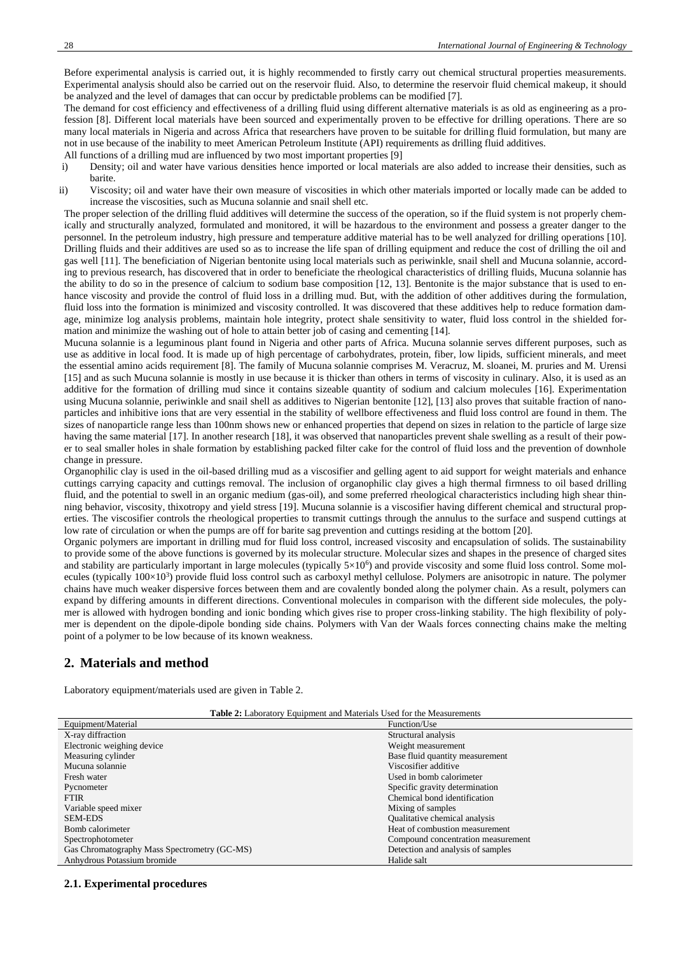Before experimental analysis is carried out, it is highly recommended to firstly carry out chemical structural properties measurements. Experimental analysis should also be carried out on the reservoir fluid. Also, to determine the reservoir fluid chemical makeup, it should be analyzed and the level of damages that can occur by predictable problems can be modified [7].

The demand for cost efficiency and effectiveness of a drilling fluid using different alternative materials is as old as engineering as a profession [8]. Different local materials have been sourced and experimentally proven to be effective for drilling operations. There are so many local materials in Nigeria and across Africa that researchers have proven to be suitable for drilling fluid formulation, but many are not in use because of the inability to meet American Petroleum Institute (API) requirements as drilling fluid additives.

- All functions of a drilling mud are influenced by two most important properties [9]
- i) Density; oil and water have various densities hence imported or local materials are also added to increase their densities, such as barite.
- ii) Viscosity; oil and water have their own measure of viscosities in which other materials imported or locally made can be added to increase the viscosities, such as Mucuna solannie and snail shell etc.

The proper selection of the drilling fluid additives will determine the success of the operation, so if the fluid system is not properly chemically and structurally analyzed, formulated and monitored, it will be hazardous to the environment and possess a greater danger to the personnel. In the petroleum industry, high pressure and temperature additive material has to be well analyzed for drilling operations [10]. Drilling fluids and their additives are used so as to increase the life span of drilling equipment and reduce the cost of drilling the oil and gas well [11]. The beneficiation of Nigerian bentonite using local materials such as periwinkle, snail shell and Mucuna solannie, according to previous research, has discovered that in order to beneficiate the rheological characteristics of drilling fluids, Mucuna solannie has the ability to do so in the presence of calcium to sodium base composition [12, 13]. Bentonite is the major substance that is used to enhance viscosity and provide the control of fluid loss in a drilling mud. But, with the addition of other additives during the formulation, fluid loss into the formation is minimized and viscosity controlled. It was discovered that these additives help to reduce formation damage, minimize log analysis problems, maintain hole integrity, protect shale sensitivity to water, fluid loss control in the shielded formation and minimize the washing out of hole to attain better job of casing and cementing [14].

Mucuna solannie is a leguminous plant found in Nigeria and other parts of Africa. Mucuna solannie serves different purposes, such as use as additive in local food. It is made up of high percentage of carbohydrates, protein, fiber, low lipids, sufficient minerals, and meet the essential amino acids requirement [8]. The family of Mucuna solannie comprises M. Veracruz, M. sloanei, M. pruries and M. Urensi [15] and as such Mucuna solannie is mostly in use because it is thicker than others in terms of viscosity in culinary. Also, it is used as an additive for the formation of drilling mud since it contains sizeable quantity of sodium and calcium molecules [16]. Experimentation using Mucuna solannie, periwinkle and snail shell as additives to Nigerian bentonite [12], [13] also proves that suitable fraction of nanoparticles and inhibitive ions that are very essential in the stability of wellbore effectiveness and fluid loss control are found in them. The sizes of nanoparticle range less than 100nm shows new or enhanced properties that depend on sizes in relation to the particle of large size having the same material [17]. In another research [18], it was observed that nanoparticles prevent shale swelling as a result of their power to seal smaller holes in shale formation by establishing packed filter cake for the control of fluid loss and the prevention of downhole change in pressure.

Organophilic clay is used in the oil-based drilling mud as a viscosifier and gelling agent to aid support for weight materials and enhance cuttings carrying capacity and cuttings removal. The inclusion of organophilic clay gives a high thermal firmness to oil based drilling fluid, and the potential to swell in an organic medium (gas-oil), and some preferred rheological characteristics including high shear thinning behavior, viscosity, thixotropy and yield stress [19]. Mucuna solannie is a viscosifier having different chemical and structural properties. The viscosifier controls the rheological properties to transmit cuttings through the annulus to the surface and suspend cuttings at low rate of circulation or when the pumps are off for barite sag prevention and cuttings residing at the bottom [20].

Organic polymers are important in drilling mud for fluid loss control, increased viscosity and encapsulation of solids. The sustainability to provide some of the above functions is governed by its molecular structure. Molecular sizes and shapes in the presence of charged sites and stability are particularly important in large molecules (typically  $5\times10^6$ ) and provide viscosity and some fluid loss control. Some molecules (typically  $100\times10^3$ ) provide fluid loss control such as carboxyl methyl cellulose. Polymers are anisotropic in nature. The polymer chains have much weaker dispersive forces between them and are covalently bonded along the polymer chain. As a result, polymers can expand by differing amounts in different directions. Conventional molecules in comparison with the different side molecules, the polymer is allowed with hydrogen bonding and ionic bonding which gives rise to proper cross-linking stability. The high flexibility of polymer is dependent on the dipole-dipole bonding side chains. Polymers with [Van der Waals forces](https://byjus.com/chemistry/van-der-waals-forces/) connecting chains make the melting point of a polymer to be low because of its known weakness.

## **2. Materials and method**

Laboratory equipment/materials used are given in Table 2.

| <b>Table 2:</b> Laboratory Equipment and Materials Used for the Measurements |                                    |  |  |
|------------------------------------------------------------------------------|------------------------------------|--|--|
| Equipment/Material                                                           | Function/Use                       |  |  |
| X-ray diffraction                                                            | Structural analysis                |  |  |
| Electronic weighing device                                                   | Weight measurement                 |  |  |
| Measuring cylinder                                                           | Base fluid quantity measurement    |  |  |
| Mucuna solannie                                                              | Viscosifier additive               |  |  |
| Fresh water                                                                  | Used in bomb calorimeter           |  |  |
| Pycnometer                                                                   | Specific gravity determination     |  |  |
| FTIR                                                                         | Chemical bond identification       |  |  |
| Variable speed mixer                                                         | Mixing of samples                  |  |  |
| SEM-EDS                                                                      | Qualitative chemical analysis      |  |  |
| Bomb calorimeter                                                             | Heat of combustion measurement     |  |  |
| Spectrophotometer                                                            | Compound concentration measurement |  |  |

Gas Chromatography Mass Spectrometry (GC-MS) Detection and analysis of samples

Anhydrous Potassium bromide **Halide salt** Anhydrous Potassium bromide

**Table 2:** Laboratory Equipment and Materials Used for the Measurements

#### **2.1. Experimental procedures**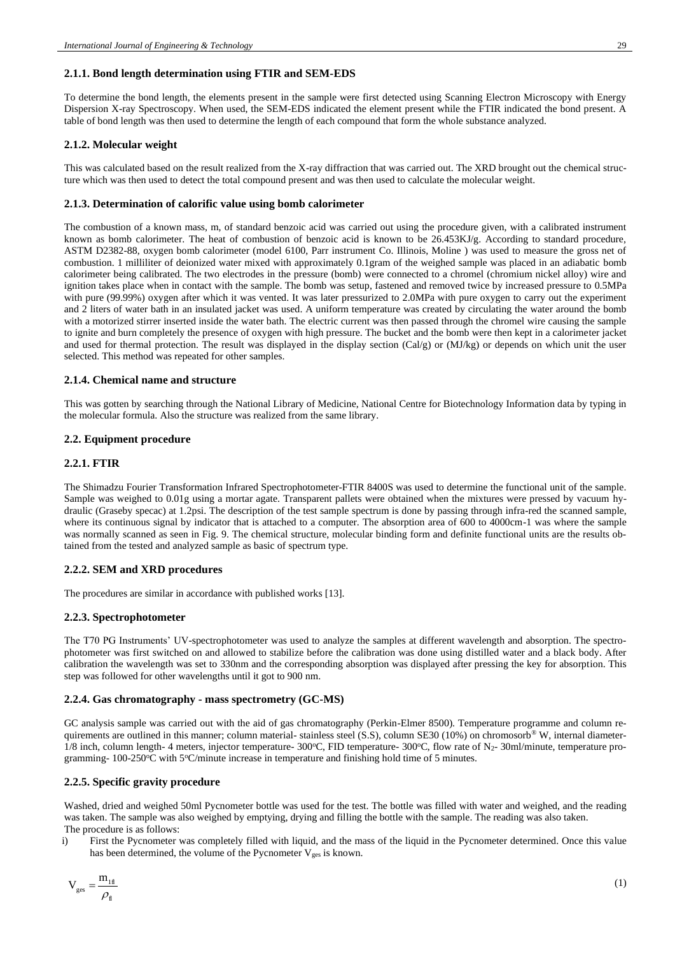#### **2.1.1. Bond length determination using FTIR and SEM-EDS**

To determine the bond length, the elements present in the sample were first detected using Scanning Electron Microscopy with Energy Dispersion X-ray Spectroscopy. When used, the SEM-EDS indicated the element present while the FTIR indicated the bond present. A table of bond length was then used to determine the length of each compound that form the whole substance analyzed.

#### **2.1.2. Molecular weight**

This was calculated based on the result realized from the X-ray diffraction that was carried out. The XRD brought out the chemical structure which was then used to detect the total compound present and was then used to calculate the molecular weight.

#### **2.1.3. Determination of calorific value using bomb calorimeter**

The combustion of a known mass, m, of standard benzoic acid was carried out using the procedure given, with a calibrated instrument known as bomb calorimeter. The heat of combustion of benzoic acid is known to be 26.453KJ/g. According to standard procedure, ASTM D2382-88, oxygen bomb calorimeter (model 6100, Parr instrument Co. Illinois, Moline ) was used to measure the gross net of combustion. 1 milliliter of deionized water mixed with approximately 0.1gram of the weighed sample was placed in an adiabatic bomb calorimeter being calibrated. The two electrodes in the pressure (bomb) were connected to a chromel (chromium nickel alloy) wire and ignition takes place when in contact with the sample. The bomb was setup, fastened and removed twice by increased pressure to 0.5MPa with pure (99.99%) oxygen after which it was vented. It was later pressurized to 2.0MPa with pure oxygen to carry out the experiment and 2 liters of water bath in an insulated jacket was used. A uniform temperature was created by circulating the water around the bomb with a motorized stirrer inserted inside the water bath. The electric current was then passed through the chromel wire causing the sample to ignite and burn completely the presence of oxygen with high pressure. The bucket and the bomb were then kept in a calorimeter jacket and used for thermal protection. The result was displayed in the display section (Cal/g) or (MJ/kg) or depends on which unit the user selected. This method was repeated for other samples.

#### **2.1.4. Chemical name and structure**

This was gotten by searching through the National Library of Medicine, National Centre for Biotechnology Information data by typing in the molecular formula. Also the structure was realized from the same library.

#### **2.2. Equipment procedure**

#### **2.2.1. FTIR**

The Shimadzu Fourier Transformation Infrared Spectrophotometer-FTIR 8400S was used to determine the functional unit of the sample. Sample was weighed to 0.01g using a mortar agate. Transparent pallets were obtained when the mixtures were pressed by vacuum hydraulic (Graseby specac) at 1.2psi. The description of the test sample spectrum is done by passing through infra-red the scanned sample, where its continuous signal by indicator that is attached to a computer. The absorption area of 600 to 4000cm-1 was where the sample was normally scanned as seen in Fig. 9. The chemical structure, molecular binding form and definite functional units are the results obtained from the tested and analyzed sample as basic of spectrum type.

#### **2.2.2. SEM and XRD procedures**

The procedures are similar in accordance with published works [13].

#### **2.2.3. Spectrophotometer**

The T70 PG Instruments' UV-spectrophotometer was used to analyze the samples at different wavelength and absorption. The spectrophotometer was first switched on and allowed to stabilize before the calibration was done using distilled water and a black body. After calibration the wavelength was set to 330nm and the corresponding absorption was displayed after pressing the key for absorption. This step was followed for other wavelengths until it got to 900 nm.

#### **2.2.4. Gas chromatography - mass spectrometry (GC-MS)**

GC analysis sample was carried out with the aid of gas chromatography (Perkin-Elmer 8500). Temperature programme and column requirements are outlined in this manner; column material- stainless steel (S.S), column SE30 (10%) on chromosorb<sup>®</sup> W, internal diameter- $1/8$  inch, column length- 4 meters, injector temperature- 300°C, FID temperature- 300°C, flow rate of N<sub>2</sub>- 30ml/minute, temperature programming-  $100-250^{\circ}$ C with  $5^{\circ}$ C/minute increase in temperature and finishing hold time of 5 minutes.

#### **2.2.5. Specific gravity procedure**

Washed, dried and weighed 50ml Pycnometer bottle was used for the test. The bottle was filled with water and weighed, and the reading was taken. The sample was also weighed by emptying, drying and filling the bottle with the sample. The reading was also taken. The procedure is as follows:

i) First the Pycnometer was completely filled with liquid, and the mass of the liquid in the Pycnometer determined. Once this value has been determined, the volume of the Pycnometer  $V_{\text{ges}}$  is known.

$$
V_{\rm ges} = \frac{m_{1\rm fl}}{\rho_{\rm fl}}\tag{1}
$$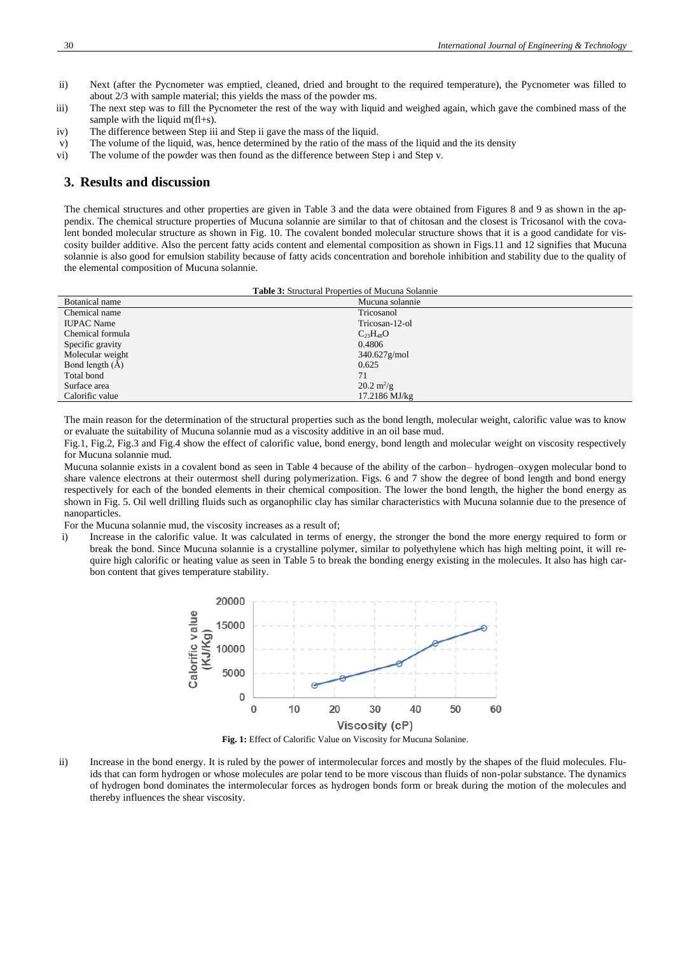- ii) Next (after the Pycnometer was emptied, cleaned, dried and brought to the required temperature), the Pycnometer was filled to about 2/3 with sample material; this yields the mass of the powder ms.
- iii) The next step was to fill the Pycnometer the rest of the way with liquid and weighed again, which gave the combined mass of the sample with the liquid m(fl+s).
- iv) The difference between Step iii and Step ii gave the mass of the liquid.
- v) The volume of the liquid, was, hence determined by the ratio of the mass of the liquid and the its density vi) The volume of the powder was then found as the difference between Step i and Step v.
- The volume of the powder was then found as the difference between Step i and Step v.

# **3. Results and discussion**

The chemical structures and other properties are given in Table 3 and the data were obtained from Figures 8 and 9 as shown in the appendix. The chemical structure properties of Mucuna solannie are similar to that of chitosan and the closest is Tricosanol with the covalent bonded molecular structure as shown in Fig. 10. The covalent bonded molecular structure shows that it is a good candidate for viscosity builder additive. Also the percent fatty acids content and elemental composition as shown in Figs.11 and 12 signifies that Mucuna solannie is also good for emulsion stability because of fatty acids concentration and borehole inhibition and stability due to the quality of the elemental composition of Mucuna solannie.

| <b>Table 3:</b> Structural Properties of Mucuna Solannie |                             |  |  |
|----------------------------------------------------------|-----------------------------|--|--|
| Botanical name                                           | Mucuna solannie             |  |  |
| Chemical name                                            | Tricosanol                  |  |  |
| <b>IUPAC</b> Name                                        | Tricosan-12-ol              |  |  |
| Chemical formula                                         | $C_{23}H_{48}O$             |  |  |
| Specific gravity                                         | 0.4806                      |  |  |
| Molecular weight                                         | $340.627$ g/mol             |  |  |
| Bond length $(A)$                                        | 0.625                       |  |  |
| Total bond                                               | 71                          |  |  |
| Surface area                                             | $20.2 \text{ m}^2/\text{g}$ |  |  |
| Calorific value                                          | 17.2186 MJ/kg               |  |  |
|                                                          |                             |  |  |

The main reason for the determination of the structural properties such as the bond length, molecular weight, calorific value was to know or evaluate the suitability of Mucuna solannie mud as a viscosity additive in an oil base mud.

Fig.1, Fig.2, Fig.3 and Fig.4 show the effect of calorific value, bond energy, bond length and molecular weight on viscosity respectively for Mucuna solannie mud.

Mucuna solannie exists in a covalent bond as seen in Table 4 because of the ability of the carbon– hydrogen–oxygen molecular bond to share valence electrons at their outermost shell during polymerization. Figs. 6 and 7 show the degree of bond length and bond energy respectively for each of the bonded elements in their chemical composition. The lower the bond length, the higher the bond energy as shown in Fig. 5. Oil well drilling fluids such as organophilic clay has similar characteristics with Mucuna solannie due to the presence of nanoparticles.

For the Mucuna solannie mud, the viscosity increases as a result of;

i) Increase in the calorific value. It was calculated in terms of energy, the stronger the bond the more energy required to form or break the bond. Since Mucuna solannie is a crystalline polymer, similar to polyethylene which has high melting point, it will require high calorific or heating value as seen in Table 5 to break the bonding energy existing in the molecules. It also has high carbon content that gives temperature stability.



**Fig. 1:** Effect of Calorific Value on Viscosity for Mucuna Solanine.

ii) Increase in the bond energy. It is ruled by the power of intermolecular forces and mostly by the shapes of the fluid molecules. Fluids that can form hydrogen or whose molecules are polar tend to be more viscous than fluids of non-polar substance. The dynamics of hydrogen bond dominates the intermolecular forces as hydrogen bonds form or break during the motion of the molecules and thereby influences the shear viscosity.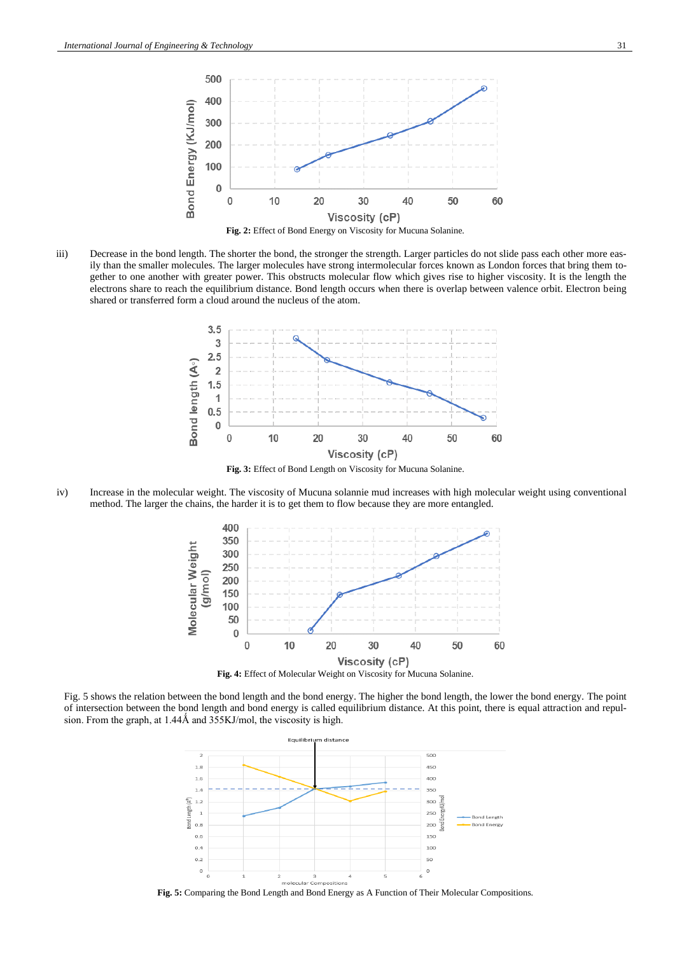

iii) Decrease in the bond length. The shorter the bond, the stronger the strength. Larger particles do not slide pass each other more easily than the smaller molecules. The larger molecules have strong intermolecular forces known as London forces that bring them together to one another with greater power. This obstructs molecular flow which gives rise to higher viscosity. It is the length the electrons share to reach the equilibrium distance. Bond length occurs when there is overlap between valence orbit. Electron being shared or transferred form a cloud around the nucleus of the atom.



**Fig. 3:** Effect of Bond Length on Viscosity for Mucuna Solanine.

iv) Increase in the molecular weight. The viscosity of Mucuna solannie mud increases with high molecular weight using conventional method. The larger the chains, the harder it is to get them to flow because they are more entangled.



Fig. 5 shows the relation between the bond length and the bond energy. The higher the bond length, the lower the bond energy. The point

of intersection between the bond length and bond energy is called equilibrium distance. At this point, there is equal attraction and repulsion. From the graph, at 1.44Å and 355KJ/mol, the viscosity is high.



**Fig. 5:** Comparing the Bond Length and Bond Energy as A Function of Their Molecular Compositions.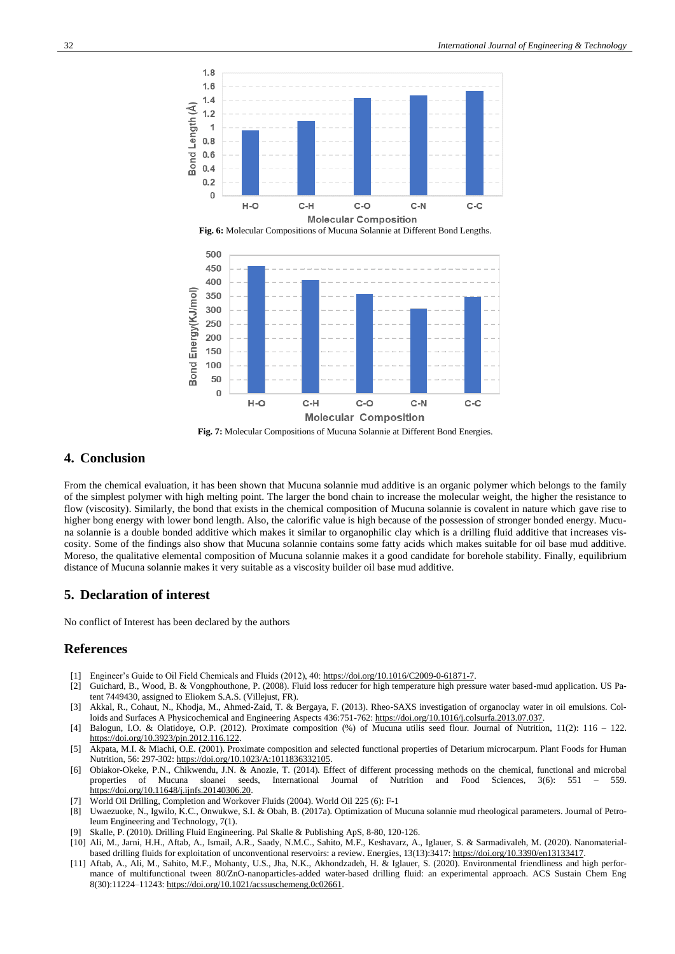

**Fig. 6:** Molecular Compositions of Mucuna Solannie at Different Bond Lengths.



### **4. Conclusion**

From the chemical evaluation, it has been shown that Mucuna solannie mud additive is an organic polymer which belongs to the family of the simplest polymer with high melting point. The larger the bond chain to increase the molecular weight, the higher the resistance to flow (viscosity). Similarly, the bond that exists in the chemical composition of Mucuna solannie is covalent in nature which gave rise to higher bong energy with lower bond length. Also, the calorific value is high because of the possession of stronger bonded energy. Mucuna solannie is a double bonded additive which makes it similar to organophilic clay which is a drilling fluid additive that increases viscosity. Some of the findings also show that Mucuna solannie contains some fatty acids which makes suitable for oil base mud additive. Moreso, the qualitative elemental composition of Mucuna solannie makes it a good candidate for borehole stability. Finally, equilibrium distance of Mucuna solannie makes it very suitable as a viscosity builder oil base mud additive.

#### **5. Declaration of interest**

No conflict of Interest has been declared by the authors

## **References**

- [1] Engineer's Guide to Oil Field Chemicals and Fluids (2012), 40[: https://doi.org/10.1016/C2009-0-61871-7.](https://doi.org/10.1016/C2009-0-61871-7)
- [2] Guichard, B., Wood, B. & Vongphouthone, P. (2008). Fluid loss reducer for high temperature high pressure water based-mud application. US Patent 7449430, assigned to Eliokem S.A.S. (Villejust, FR).
- [3] Akkal, R., Cohaut, N., Khodja, M., Ahmed-Zaid, T. & Bergaya, F. (2013). Rheo-SAXS investigation of organoclay water in oil emulsions. Colloids and Surfaces A Physicochemical and Engineering Aspects 436:751-762: https://doi.org/10.1016/j.colsurfa.2013.07.037
- [4] Balogun, I.O. & Olatidoye, O.P. (2012). Proximate composition (%) of Mucuna utilis seed flour. Journal of Nutrition, 11(2): 116 122. [https://doi.org/10.3923/pjn.2012.116.122.](https://doi.org/10.3923/pjn.2012.116.122)
- [5] Akpata, M.I. & Miachi, O.E. (2001). Proximate composition and selected functional properties of Detarium microcarpum. Plant Foods for Human Nutrition, 56: 297-302: [https://doi.org/10.1023/A:1011836332105.](https://doi.org/10.1023/A:1011836332105)
- [6] Obiakor-Okeke, P.N., Chikwendu, J.N. & Anozie, T. (2014). Effect of different processing methods on the chemical, functional and microbal properties of Mucuna sloanei seeds, International Journal of Nutrition and Food Sciences, 3(6): 551 – 559. [https://doi.org/10.11648/j.ijnfs.20140306.20.](https://doi.org/10.11648/j.ijnfs.20140306.20)
- [7] World Oil Drilling, Completion and Workover Fluids (2004). World Oil 225 (6): F-1
- [8] Uwaezuoke, N., Igwilo, K.C., Onwukwe, S.I. & Obah, B. (2017a). Optimization of Mucuna solannie mud rheological parameters. Journal of Petroleum Engineering and Technology, 7(1).
- [9] Skalle, P. (2010). Drilling Fluid Engineering. Pal Skalle & Publishing ApS, 8-80, 120-126.
- [10] Ali, M., Jarni, H.H., Aftab, A., Ismail, A.R., Saady, N.M.C., Sahito, M.F., Keshavarz, A., Iglauer, S. & Sarmadivaleh, M. (2020). Nanomaterialbased drilling fluids for exploitation of unconventional reservoirs: a review. Energies, 13(13):3417: https://doi.org/10.3390/en13133417
- [11] Aftab, A., Ali, M., Sahito, M.F., Mohanty, U.S., Jha, N.K., Akhondzadeh, H. & Iglauer, S. (2020). Environmental friendliness and high performance of multifunctional tween 80/ZnO-nanoparticles-added water-based drilling fluid: an experimental approach. ACS Sustain Chem Eng 8(30):11224–11243[: https://doi.org/10.1021/acssuschemeng.0c02661.](https://doi.org/10.1021/acssuschemeng.0c02661)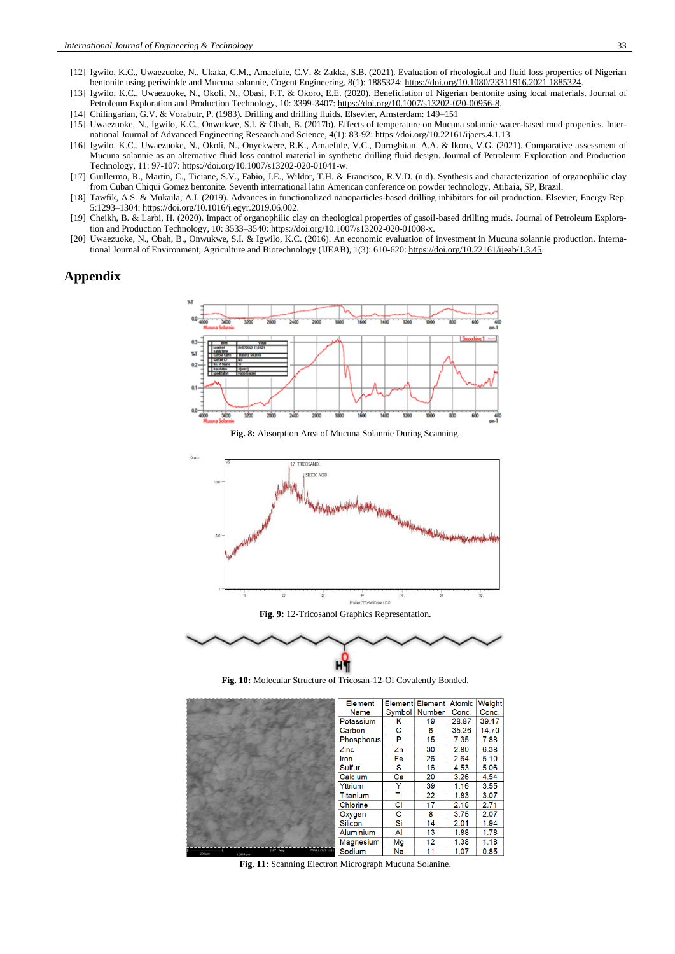- [12] Igwilo, K.C., Uwaezuoke, N., Ukaka, C.M., Amaefule, C.V. & Zakka, S.B. (2021). Evaluation of rheological and fluid loss properties of Nigerian bentonite using periwinkle and Mucuna solannie, Cogent Engineering, 8(1): 1885324: [https://doi.org/10.1080/23311916.2021.1885324.](https://doi.org/10.1080/23311916.2021.1885324)
- [13] Igwilo, K.C., Uwaezuoke, N., Okoli, N., Obasi, F.T. & Okoro, E.E. (2020). Beneficiation of Nigerian bentonite using local materials. Journal of Petroleum Exploration and Production Technology, 10: 3399-3407[: https://doi.org/10.1007/s13202-020-00956-8.](https://doi.org/10.1007/s13202-020-00956-8)
- [14] Chilingarian, G.V. & Vorabutr, P. (1983). Drilling and drilling fluids. Elsevier, Amsterdam: 149–151
- [15] Uwaezuoke, N., Igwilo, K.C., Onwukwe, S.I. & Obah, B. (2017b). Effects of temperature on Mucuna solannie water-based mud properties. International Journal of Advanced Engineering Research and Science, 4(1): 83-92[: https://doi.org/10.22161/ijaers.4.1.13.](https://doi.org/10.22161/ijaers.4.1.13)
- [16] Igwilo, K.C., Uwaezuoke, N., Okoli, N., Onyekwere, R.K., Amaefule, V.C., Durogbitan, A.A. & Ikoro, V.G. (2021). Comparative assessment of Mucuna solannie as an alternative fluid loss control material in synthetic drilling fluid design. Journal of Petroleum Exploration and Production Technology, 11: 97-107[: https://doi.org/10.1007/s13202-020-01041-w.](https://doi.org/10.1007/s13202-020-01041-w)
- [17] Guillermo, R., Martin, C., Ticiane, S.V., Fabio, J.E., Wildor, T.H. & Francisco, R.V.D. (n.d). Synthesis and characterization of organophilic clay from Cuban Chiqui Gomez bentonite. Seventh international latin American conference on powder technology, Atibaia, SP, Brazil.
- [18] Tawfik, A.S. & Mukaila, A.I. (2019). Advances in functionalized nanoparticles-based drilling inhibitors for oil production. Elsevier, Energy Rep. 5:1293–1304: [https://doi.org/10.1016/j.egyr.2019.06.002.](https://doi.org/10.1016/j.egyr.2019.06.002)
- [19] [Cheikh, B.](https://link.springer.com/article/10.1007/s13202-020-01008-x#auth-Cheikh-Bergane) & [Larbi, H.](https://link.springer.com/article/10.1007/s13202-020-01008-x#auth-Larbi-Hammadi) (2020). Impact of organophilic clay on rheological properties of gasoil-based drilling muds. [Journal of Petroleum Explora](https://link.springer.com/journal/13202)[tion and Production Technology,](https://link.springer.com/journal/13202) 10: 3533–3540[: https://doi.org/10.1007/s13202-020-01008-x.](https://doi.org/10.1007/s13202-020-01008-x)
- [20] Uwaezuoke, N., Obah, B., Onwukwe, S.I. & Igwilo, K.C. (2016). An economic evaluation of investment in Mucuna solannie production. International Journal of Environment, Agriculture and Biotechnology (IJEAB), 1(3): 610-620[: https://doi.org/10.22161/ijeab/1.3.45.](https://doi.org/10.22161/ijeab/1.3.45)

## **Appendix**



**Fig. 8:** Absorption Area of Mucuna Solannie During Scanning.



нĭ **Fig. 10:** Molecular Structure of Tricosan-12-Ol Covalently Bonded.

|              |                                | Element         |    | Element Element   Atomic |       | Weight |
|--------------|--------------------------------|-----------------|----|--------------------------|-------|--------|
|              |                                | Name            |    | Symbol   Number          | Conc. | Conc.  |
|              |                                | Potassium       | κ  | 19                       | 28.87 | 39.17  |
|              |                                | Carbon          | C  | 6                        | 35.26 | 14.70  |
|              |                                | Phosphorus      | P  | 15                       | 7.35  | 7.88   |
|              |                                | Zinc            | Zn | 30                       | 2.80  | 6.38   |
|              |                                | Iron            | Fe | 26                       | 2.64  | 5.10   |
|              |                                | <b>Sulfur</b>   | s  | 16                       | 4.53  | 5.06   |
|              |                                | Calcium         | Ca | 20                       | 3.26  | 4.54   |
|              |                                | Yttrium         | Y  | 39                       | 1.16  | 3.55   |
|              |                                | <b>Titanium</b> | Τi | 22                       | 1.83  | 3.07   |
|              |                                | Chlorine        | CI | 17                       | 2.18  | 2.71   |
|              |                                | Oxygen          | o  | 8                        | 3.75  | 2.07   |
|              |                                | <b>Silicon</b>  | Si | 14                       | 2.01  | 1.94   |
|              |                                | Aluminium       | Al | 13                       | 1.88  | 1.78   |
|              |                                | Magnesium       | Mg | 12                       | 1.38  | 1.18   |
| $AB$ and $B$ | MAR 2 2020 13:19<br>15kV - Map | Sodium          | Na | 11                       | 1.07  | 0.85   |

**Fig. 11:** Scanning Electron Micrograph Mucuna Solanine.